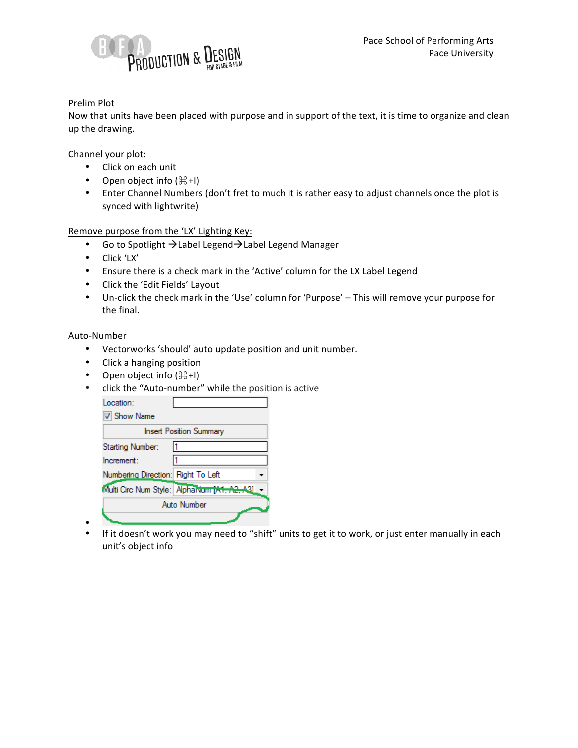

## Prelim Plot

Now that units have been placed with purpose and in support of the text, it is time to organize and clean up the drawing.

Channel your plot:

- Click on each unit
- Open object info  $(\mathbb{H} + I)$
- Enter Channel Numbers (don't fret to much it is rather easy to adjust channels once the plot is synced with lightwrite)

Remove purpose from the 'LX' Lighting Key:

- Go to Spotlight  $\rightarrow$  Label Legend $\rightarrow$  Label Legend Manager
- Click 'LX'
- Ensure there is a check mark in the 'Active' column for the LX Label Legend
- Click the 'Edit Fields' Layout
- Un-click the check mark in the 'Use' column for 'Purpose' This will remove your purpose for the final.

## Auto-Number

- Vectorworks 'should' auto update position and unit number.
- Click a hanging position
- Open object info  $(\mathbb{H} + I)$
- click the "Auto-number" while the position is active

| Location:                          |                                             |
|------------------------------------|---------------------------------------------|
| <b>V</b> Show Name                 |                                             |
|                                    | <b>Insert Position Summary</b>              |
| Starting Number:                   |                                             |
| Increment:                         |                                             |
| Numbering Direction: Right To Left |                                             |
|                                    | Multi Circ Num Style: Aphalvum 1A1, A2, A31 |
|                                    | Auto Number                                 |
|                                    |                                             |

• • If it doesn't work you may need to "shift" units to get it to work, or just enter manually in each unit's object info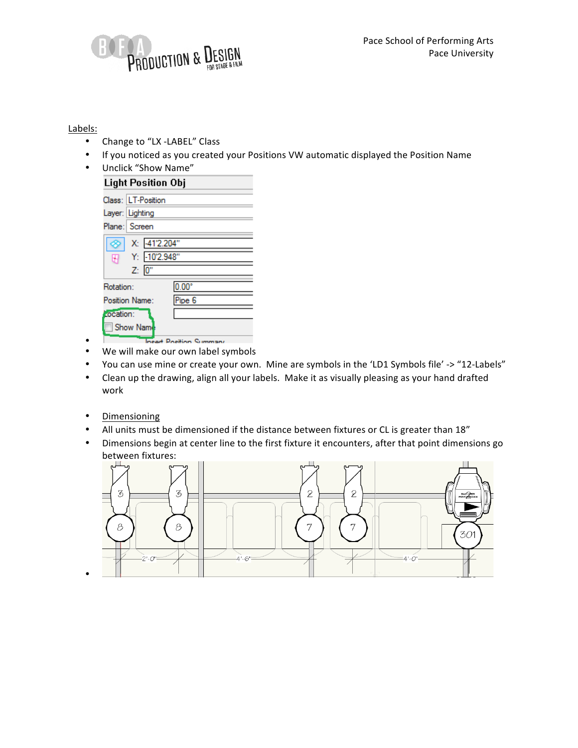

## Labels:

- Change to "LX -LABEL" Class
- If you noticed as you created your Positions VW automatic displayed the Position Name
- Unclick "Show Name"

| Light Position Obj                      |                          |
|-----------------------------------------|--------------------------|
| Class: LT-Position                      |                          |
| Layer: Lighting                         |                          |
| Plane:   Screen                         |                          |
| X: 41'2.204"<br>Y: - 10'2.948"<br>Z: 0" |                          |
| Rotation:                               | $0.00^\circ$             |
| Position Name:                          | Pipe 6                   |
| cocation:                               |                          |
| Show Nam                                |                          |
|                                         | Leased Davition Commence |

- • We will make our own label symbols
- You can use mine or create your own. Mine are symbols in the 'LD1 Symbols file' -> "12-Labels"
- Clean up the drawing, align all your labels. Make it as visually pleasing as your hand drafted work
- Dimensioning

•

- All units must be dimensioned if the distance between fixtures or CL is greater than 18"
- Dimensions begin at center line to the first fixture it encounters, after that point dimensions go between fixtures: